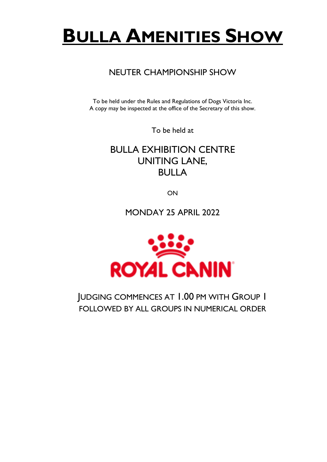# **BULLA AMENITIES SHOW**

### NEUTER CHAMPIONSHIP SHOW

To be held under the Rules and Regulations of Dogs Victoria Inc. A copy may be inspected at the office of the Secretary of this show.

To be held at

BULLA EXHIBITION CENTRE UNITING LANE, BULLA

ON

MONDAY 25 APRIL 2022



JUDGING COMMENCES AT 1.00 PM WITH GROUP 1 FOLLOWED BY ALL GROUPS IN NUMERICAL ORDER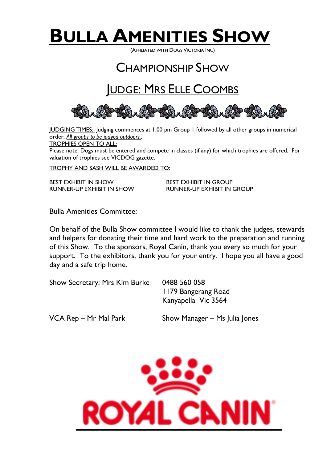

(AFFILIATED WITH DOGS VICTORIA INC)

## CHAMPIONSHIP SHOW

## JUDGE: MRS ELLE COOMBS



JUDGING TIMES: Judging commences at 1.00 pm Group 1 followed by all other groups in numerical order. *All groups to be judged outdoors.*.

TROPHIES OPEN TO ALL:

Please note: Dogs must be entered and compete in classes (if any) for which trophies are offered. For valuation of trophies see VICDOG gazette.

TROPHY AND SASH WILL BE AWARDED TO:

BEST EXHIBIT IN SHOW BEST EXHIBIT IN GROUP RUNNER-UP EXHIBIT IN SHOW RUNNER-UP EXHIBIT IN GROUP

Bulla Amenities Committee:

On behalf of the Bulla Show committee I would like to thank the judges, stewards and helpers for donating their time and hard work to the preparation and running of this Show. To the sponsors, Royal Canin, thank you every so much for your support. To the exhibitors, thank you for your entry. I hope you all have a good day and a safe trip home.

Show Secretary: Mrs Kim Burke 0488 560 058

1179 Bangerang Road Kanyapella Vic 3564

VCA Rep – Mr Mal Park Show Manager – Ms Julia Jones

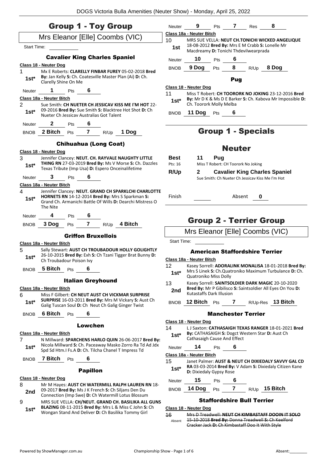|                                          | <b>Group 1 - Toy Group</b>                                                                                                                                                        |                        | Neuter 9 Pts 7 Res                    |     |               |                                     | 8                                                                                                                |
|------------------------------------------|-----------------------------------------------------------------------------------------------------------------------------------------------------------------------------------|------------------------|---------------------------------------|-----|---------------|-------------------------------------|------------------------------------------------------------------------------------------------------------------|
|                                          | Mrs Eleanor [Elle] Coombs (VIC)                                                                                                                                                   |                        | Class 18a - Neuter Bitch              |     |               |                                     |                                                                                                                  |
| Start Time:                              |                                                                                                                                                                                   | 10 <sup>°</sup><br>1st | Macdreamy D: Tonichi Thdevilwearprada |     |               |                                     | MRS SUE VELLA: NEUT CH.TONICHI WICKED ANGELIQUE<br>18-08-2012 Bred By: Mrs E M Crabb S: Lonelle Mr               |
|                                          | <b>Cavalier King Charles Spaniel</b>                                                                                                                                              | Neuter                 | 10 <sub>1</sub>                       | Pts | 6             |                                     |                                                                                                                  |
| Class 18 - Neuter Dog                    |                                                                                                                                                                                   |                        | BNOB 9 Dog                            | Pts |               |                                     | 8 $R/Up$ 8 Dog                                                                                                   |
| 1<br>$1st*$                              | Mx E Roberts: CLARELLY FINBAR FUREY 05-02-2018 Bred<br>By: Jan Kelly S: Ch. Coatesville Master Plan (Ai) D: Ch.<br>Clarelly Shine On Me                                           |                        |                                       |     | Pug           |                                     |                                                                                                                  |
| Neuter                                   | 6<br>$\mathbf 1$<br>Pts                                                                                                                                                           |                        | Class 18 - Neuter Dog                 |     |               |                                     |                                                                                                                  |
| Class 18a - Neuter Bitch                 |                                                                                                                                                                                   | 11                     |                                       |     |               |                                     | Miss T Robert: CH TOORORK NO JOKING 23-12-2016 Bred<br>By: Mr D K & Ms D E Barker S: Ch. Kabova Mr Impossible D: |
| $\overline{2}$                           | Sue Smith: CH NUETER CH JESSICAV KISS ME I'M HOT 22-                                                                                                                              | $1st^*$                | Ch. Toorork Molly Melba               |     |               |                                     |                                                                                                                  |
| $1st*$                                   | 09-2016 Bred By: Sue Smith S: Blacktree Hot Shot D: Ch<br>Nueter Ch Jessicav Australias Got Talent                                                                                | <b>BNOB</b>            | <b>11 Dog</b> Pts                     |     |               |                                     |                                                                                                                  |
| Neuter                                   | $\mathbf{2}$<br><b>Pts</b>                                                                                                                                                        |                        |                                       |     |               |                                     |                                                                                                                  |
|                                          | 7 $R/Up$ 1 Dog<br>BNOB 2 Bitch Pts                                                                                                                                                |                        |                                       |     |               | <b>Group 1 - Specials</b>           |                                                                                                                  |
|                                          | <b>Chihuahua (Long Coat)</b>                                                                                                                                                      |                        |                                       |     | <b>Neuter</b> |                                     |                                                                                                                  |
| Class 18 - Neuter Dog                    |                                                                                                                                                                                   |                        |                                       |     |               |                                     |                                                                                                                  |
| 3                                        | Jennifer Clancey: NEUT. CH. RAYVALE NAUGHTY LITTLE<br>THING RN 27-03-2019 Bred By: Ms V Morse S: Ch. Dazzles                                                                      | Best<br>Pts: 16        | 11                                    | Pua |               | Miss T Robert: CH Toorork No Joking |                                                                                                                  |
| $1st*$                                   | Texas Tribute (Imp Usa) D: Espero Onceinalifetime                                                                                                                                 |                        |                                       |     |               |                                     |                                                                                                                  |
| Neuter 3                                 | Pts $\overline{\mathbf{6}}$                                                                                                                                                       | R/Up                   | $\mathbf{2}$                          |     |               |                                     | <b>Cavalier King Charles Spaniel</b><br>Sue Smith: Ch Nueter Ch Jessicay Kiss Me I'm Hot                         |
| Class 18a - Neuter Bitch                 |                                                                                                                                                                                   |                        |                                       |     |               |                                     |                                                                                                                  |
| 4<br>$1st^*$                             | Jennifer Clancey: NEUT. GRAND CH SPARKLCHI CHARLOTTE<br>HORNETS RN 14-12-2014 Bred By: Mrs S Sparkman S:<br>Grand Ch. Armanichi Battle Of Wills D: Dearchi Mistress O<br>The Nite | Finish                 |                                       |     | Absent        |                                     | 0                                                                                                                |
| Neuter                                   | 6<br>Pts                                                                                                                                                                          |                        |                                       |     |               |                                     |                                                                                                                  |
| BNOB                                     | 3 Dog<br>7<br>$R/Up$ 4 Bitch<br>Pts                                                                                                                                               |                        |                                       |     |               |                                     | <b>Group 2 - Terrier Group</b>                                                                                   |
|                                          | <b>Griffon Bruxellois</b>                                                                                                                                                         |                        |                                       |     |               |                                     | Mrs Eleanor [Elle] Coombs (VIC)                                                                                  |
| Class 18a - Neuter Bitch                 |                                                                                                                                                                                   | Start Time:            |                                       |     |               |                                     |                                                                                                                  |
| 5                                        | Sally Stewart: AUST CH TROUBADOUR HOLLY GOLIGHTLY                                                                                                                                 |                        |                                       |     |               |                                     | <b>American Staffordshire Terrier</b>                                                                            |
| $1st*$                                   | 26-10-2015 Bred By: Exh S: Ch Tzani Tigger Brat Bunny D:                                                                                                                          |                        | Class 18a - Neuter Bitch              |     |               |                                     |                                                                                                                  |
|                                          | Ch Troubadour Poison Ivy                                                                                                                                                          | 12                     |                                       |     |               |                                     | Kasey Sorrell: ADORALINK MONALISA 18-01-2018 Bred By:                                                            |
| <b>BNOB</b>                              | 5 Bitch<br>6<br>Pts<br><b>Italian Greyhound</b>                                                                                                                                   | $1st^*$                | Quatroniko Miss Dolly                 |     |               |                                     | Mrs S Linek S: Ch.Quatroniko Maximum Turbulance D: Ch.                                                           |
| Class 18a - Neuter Bitch                 |                                                                                                                                                                                   | 13                     |                                       |     |               |                                     | Kasey Sorrell: SAINTSOLDIER DARK MAGIC 20-10-2020<br>Bred By: Mr P Gibilisco S: Saintsoldier All Eyes On You D:  |
| 6                                        | Miss F Gilbert: CH NEUT AUST CH VICKMAR SURPRISE                                                                                                                                  | 2nd                    | <b>Kutastaffs Dark Illusion</b>       |     |               |                                     |                                                                                                                  |
| $1st^*$                                  | SURPRISE 16-03-2011 Bred By: Mrs M Vickary S: Aust Ch<br>Galig Tuscan Soul D: Ch Neut Ch Galig Ginger Twist                                                                       |                        |                                       |     |               |                                     | BNOB 12 Bitch $Pts$ 7 R/Up-Res 13 Bitch                                                                          |
| <b>BNOB</b>                              | 6 Bitch<br><b>Pts</b><br>6                                                                                                                                                        |                        |                                       |     |               | <b>Manchester Terrier</b>           |                                                                                                                  |
|                                          |                                                                                                                                                                                   |                        | Class 18 - Neuter Dog                 |     |               |                                     |                                                                                                                  |
|                                          | Lowchen                                                                                                                                                                           | 14                     |                                       |     |               |                                     | LJ Saxton: CATHASAIGH TEXAS RANGER 18-01-2021 Bred                                                               |
| Class 18a - Neuter Bitch<br>$\mathbf{7}$ | N Millward: SPARCHENS HARLO QUIN 26-06-2017 Bred By:                                                                                                                              | $1st^*$                | Cathasaigh Cause And Effect           |     |               |                                     | By: CATHASAIGH S: Dogct Western Star D: Aust Ch                                                                  |
| $1st^*$                                  | Nicola Millward S: Ch. Paceaway Masko Zorro Ra Td Ad Jdx                                                                                                                          | Neuter                 | 14                                    | Pts | 6             |                                     |                                                                                                                  |
|                                          | Spd Sd Htm.I Fs.A D: Ch. Tilcha Chanel T Impress Td                                                                                                                               |                        | Class 18a - Neuter Bitch              |     |               |                                     |                                                                                                                  |
| BNOB                                     | <b>7 Bitch</b> Pts<br>6                                                                                                                                                           | 15                     |                                       |     |               |                                     | Janet Palmer: AUST & NEUT CH DIXIEDALY SAVVY GAL CD                                                              |
|                                          | <b>Papillon</b>                                                                                                                                                                   | $1st^*$                | D: Dixiedaly Gypsy Rose               |     |               |                                     | RA 03-03-2014 Bred By: V Adam S: Dixiedaly Citizen Kane                                                          |
| Class 18 - Neuter Dog                    |                                                                                                                                                                                   |                        | 15                                    | Pts | 6             |                                     |                                                                                                                  |
| 8                                        | Mr M Hayes: AUST CH WATERMILL RALPH LAUREN RN 18-                                                                                                                                 | Neuter                 |                                       |     |               |                                     |                                                                                                                  |
| 2nd                                      | 09-2017 Bred By: Ms J K French S: Ch Siljans Den Du<br>Connection (Imp Swe) D: Ch Watermill Lotus Blossum                                                                         | <b>BNOB</b>            | 14 Dog                                | Pts | $\mathbf{7}$  |                                     | $R/Up$ 15 Bitch                                                                                                  |
| 9                                        | MRS SUE VELLA: CH/NEUT. GRAND CH. BASILIKA ALL GUNS                                                                                                                               |                        |                                       |     |               | <b>Staffordshire Bull Terrier</b>   |                                                                                                                  |
| $1st*$                                   | <b>BLAZING 08-11-2015 Bred By: Mrs L &amp; Miss C John S: Ch</b><br>Wongan Stand And Deliver D: Ch Basilika Tommy Girl                                                            | 16                     | Class 18 - Neuter Dog                 |     |               |                                     | Mrc D Troadwall: NELIT CH KIMBACTAEE DOOIN IT SOLO                                                               |

<sup>16</sup> Mrs D Treadwell: **NEUT CH KIMBASTAFF DOOIN IT SOLO** 15-10-2018 **Bred By:** Donna Treadwell **S:** Ch Keelford Cracker Jack **D:** Ch Kimbastaff Doo It With Style Absent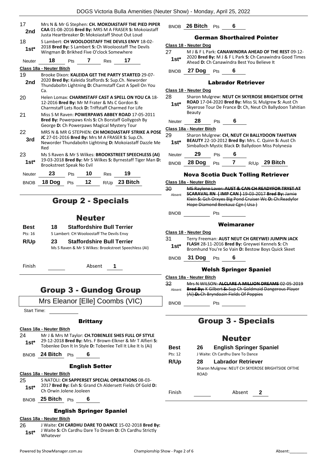| 17<br>2nd<br>18<br>$1st^*$ | Mrs N & Mr G Stephen: CH. MOKOIASTAFF THE PIED PIPER<br>CAA 01-08-2016 Bred By: MRS M A FRASER S: Mokoiastaff<br>Justa Heartbreaker D: Mokojastaff Shout Out Loud<br>S Lambert: CH WOOLOOSTAFF THE DEVILS ENVY 18-02-<br>2018 Bred By: S Lambert S: Ch Wooloostaff The Devils<br>Wingman D: Brikhed Five O'clock Somewhere |     |    |      |                                                                                                                                                                      |  |
|----------------------------|----------------------------------------------------------------------------------------------------------------------------------------------------------------------------------------------------------------------------------------------------------------------------------------------------------------------------|-----|----|------|----------------------------------------------------------------------------------------------------------------------------------------------------------------------|--|
| Neuter                     | 18                                                                                                                                                                                                                                                                                                                         | Pts | 7  | Res  | 17                                                                                                                                                                   |  |
|                            | Class 18a - Neuter Bitch                                                                                                                                                                                                                                                                                                   |     |    |      |                                                                                                                                                                      |  |
| 19<br>2nd                  | Ca.                                                                                                                                                                                                                                                                                                                        |     |    |      | Brooke Dixon: KALEIDA GET THE PARTY STARTED 29-07-<br>2020 Bred By: Kaleida Staffords S: Sup.Ch. Neworder<br>Thundaboltn Lightning D: Charmstaff Cast A Spell On You |  |
| 20                         | 12-2016 Bred By: Mr M Frater & Ms C Gordon S:                                                                                                                                                                                                                                                                              |     |    |      | Helen Lomax: CHARMSTAFF CAST A SPELL ON YOU CA 18-<br>Charmstaff Lets Rock D: Triffstaff Charmed For Life                                                            |  |
| 21                         | Miss S M Raven: POWERPAWS ABBEY ROAD 17-05-2011<br>Bred By: Powerpaws Knls S: Ch Borstaff Gollygosh By<br>George <b>D:</b> Ch Powerpaws Magical Mystery Tour                                                                                                                                                               |     |    |      |                                                                                                                                                                      |  |
| 22<br>3rd                  | Red                                                                                                                                                                                                                                                                                                                        |     |    |      | MRS N & MR G STEPHEN: CH MOKOIASTAFF STRIKE A POSE<br>JC 27-01-2016 Bred By: Mrs M A FRASER S: Sup.Ch.<br>Neworder Thundaboltn Lightning D: Mokoiastaff Dazzle Me    |  |
| 23<br>$1st^*$              | Brookstreet Speak No Evil                                                                                                                                                                                                                                                                                                  |     |    |      | Ms S Raven & Mr S Wilkes: BROOKSTREET SPEECHLESS (AI)<br>19-03-2018 Bred By: Mr S Wilkes S: Byrnestaff Tiger Man D:                                                  |  |
| Neuter                     | 23                                                                                                                                                                                                                                                                                                                         | Pts | 10 | Res  | 19                                                                                                                                                                   |  |
| <b>BNOB</b>                | 18 Doq                                                                                                                                                                                                                                                                                                                     | Pts | 12 | R/Up | 23 Bitch                                                                                                                                                             |  |

### Group 2 - Specials

### Neuter

| Best    | 18 | <b>Staffordshire Bull Terrier</b>         |
|---------|----|-------------------------------------------|
| Pts: 16 |    | S Lambert: CH Wooloostaff The Devils Envy |
| R/Up    | 23 | <b>Staffordshire Bull Terrier</b>         |

Ms S Raven & Mr S Wilkes: Brookstreet Speechless (AI)

Finish Absent **1**

### Group 3 - Gundog Group

Mrs Eleanor [Elle] Coombs (VIC)

Start Time:

### **Brittany**

**Class 18a - Neuter Bitch**

24 Mr J & Mrs M Taylor: **CH.TOBENLEE SHES FULL OF STYLE** 29-12-2018 **Bred By:** Mrs. F Brown-Elkner & Mr T Alfieri **S:**  Tobenlee Don It In Style **D:** Tobenlee Tell It Like It Is (Ai) **1st\***

BNOB **24 Bitch** Pts **6**

#### English Setter

#### **Class 18a - Neuter Bitch**

- 25 S NATOLI: **CH SAPPERSET SPECIAL OPERATIONS** 08-03- 2017 **Bred By:** Exh **S:** Grand Ch Aldersett Fields Of Gold **D: 1st**\* 2017 **Bred By:** EXN **S:** Grand Ch Orwin Jolene Jooleen
- BNOB **25 Bitch** Pts **6**

### English Springer Spaniel

#### **Class 18a - Neuter Bitch**

- 26 J Waite: **CH CARDHU DARE TO DANCE** 15-02-2018 **Bred By:** J Waite **S:** Ch Cardhu Dare To Dream **D:** Ch Cardhu Strictly
- 1st<sup>\*</sup> J <sup>walle</sup> 5:<br>Whatever

BNOB **26 Bitch** Pts **6**

#### German Shorthaired Pointer

27 M J & F L Park: **CANAWINDRA AHEAD OF THE REST** 09-12- 2020 **Bred By:** M J & F L Park **S:** Ch Canawindra Good Times **1st** ZUZU **Brea By:** M J & F L Park **S:** Ch Canawind<br>Ahead **D:** Ch Canawindra Best You Believe It

BNOB **27 Dog** Pts **6**

#### Labrador Retriever

#### **Class 18 - Neuter Dog** 28 Sharon Mulgrew: **NEUT CH SKYEROSE BRIGHTSIDE OFTHE ROAD** 17-04-2020 **Bred By:** Miss SL Mulgrew **S:** Aust Ch Skyerose Tour De France **D:** Ch, Neut Ch Ballydoon Tahitian Beauty **1st\*** Neuter **28** Pts **6 Class 18a - Neuter Bitch** 29 Sharon Mulgrew: **CH, NEUT CH BALLYDOON TAHITIAN BEAUTY** 22-10-2012 **Bred By:** Mrs. C. Quinn **S:** Aust Ch **1st\*** BEAUTY 22-10-2012 Brea By: Mrs. C. Quinn S: Aust C. Simballoch Mystic Black D: Ballydoon Miss Polynesia Neuter **29** Pts **6**

BNOB **28 Dog** Pts **7** R/Up **29 Bitch**

#### Nova Scotia Duck Tolling Retriever

**Class 18a - Neuter Bitch**

30 MS Raylene Laver: **AUST & CAN CH READYFOR TRYST AT SCARAVAL RN ( IMP CAN )** 19-03-2017 **Bred By:** Jamie Klein **S:** Gch Orxyes Big Pond Cruiser Wc **D:** Ch:Readyfor Hope Diamond Beekauz Cgn ( Usa ) Absent

BNOB Pts

#### Weimaraner

#### **Class 18 - Neuter Dog**

31 Terry Freeman: **AUST NEUT CH GREYWEI JUMPIN JACK FLASH** 28-11-2016 **Bred By:** Greywei Kennels **S:** Ch 1st\* **PLASH** 28-11-2016 Brea By: Greywel Kennels S: Ch<br>Bromhund You're So Vain D: Bestow Boys Quick Skeet

BNOB **31 Dog** Pts **6**

### Welsh Springer Spaniel

#### **Class 18a - Neuter Bitch**

32 Mrs N WILSON: **ALCLARE A MILLION DREAMS** 02-05-2019 **Bred By:** K Gilbert **S:** Sup Ch Goldmaid Dangerous Player (Ai) **D:** Ch Bryndoain Fields Of Poppies Absent

BNOB Pts

### Group 3 - Specials

### Neuter

| <b>Best</b> | 26          | <b>English Springer Spaniel</b>                   |  |  |  |  |
|-------------|-------------|---------------------------------------------------|--|--|--|--|
| Pts: 12     |             | J Waite: Ch Cardhu Dare To Dance                  |  |  |  |  |
| R/Up        | 28.         | Labrador Retriever                                |  |  |  |  |
|             | <b>ROAD</b> | Sharon Mulgrew: NEUT CH SKYEROSE BRIGHTSIDE OFTHE |  |  |  |  |

Finish Absent **2**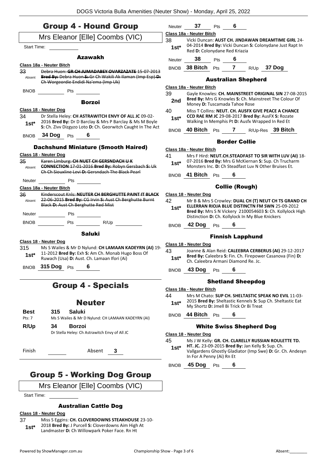|                                 | <b>Group 4 - Hound Group</b>                                                                                                                              | Neuter                                                                                                           | 37                                                                                        | <b>Pts</b> | 6                     |                                                                                                                                                                       |  |
|---------------------------------|-----------------------------------------------------------------------------------------------------------------------------------------------------------|------------------------------------------------------------------------------------------------------------------|-------------------------------------------------------------------------------------------|------------|-----------------------|-----------------------------------------------------------------------------------------------------------------------------------------------------------------------|--|
|                                 |                                                                                                                                                           | Class 18a - Neuter Bitch                                                                                         |                                                                                           |            |                       |                                                                                                                                                                       |  |
| Mrs Eleanor [Elle] Coombs (VIC) |                                                                                                                                                           |                                                                                                                  | 38<br>Vicki Duncan: AUST CH. JINDAWAN DREAMTIME GIRL 24-                                  |            |                       |                                                                                                                                                                       |  |
| Start Time:                     |                                                                                                                                                           | $1st^*$                                                                                                          | 04-2014 Bred By: Vicki Duncan S: Colonydane Just Rapt In<br>Red D: Colonydane Red Kriazia |            |                       |                                                                                                                                                                       |  |
|                                 | <b>Azawakh</b>                                                                                                                                            | Neuter                                                                                                           | 38                                                                                        | Pts        | 6                     |                                                                                                                                                                       |  |
|                                 | Class 18a - Neuter Bitch<br>Debra Huon: GR CH JUMADABEY OVARZAZATE 15-07-2013                                                                             |                                                                                                                  |                                                                                           |            |                       | BNOB 38 Bitch Pts 7 R/Up 37 Dog                                                                                                                                       |  |
| 33                              | Absent Bred By: Debra Huon S: Gr Ch Wakili Ak Ilaman (Imp Esp)-D:<br>Ch Worgeordie Endidi Na'ema (Imp Uk)                                                 |                                                                                                                  |                                                                                           |            |                       | <b>Australian Shepherd</b>                                                                                                                                            |  |
|                                 |                                                                                                                                                           |                                                                                                                  | <b>Class 18a - Neuter Bitch</b>                                                           |            |                       |                                                                                                                                                                       |  |
|                                 | <b>Borzoi</b>                                                                                                                                             | 39<br>2nd                                                                                                        | Money D: Tuscamada Tahoe Rose                                                             |            |                       | Gayle Knowles: CH. MAINSTREET ORIGINAL SIN 27-08-2015<br>Bred By: Mrs G Knowles S: Ch. Mainstreet The Colour Of                                                       |  |
|                                 | Class 18 - Neuter Dog                                                                                                                                     | 40                                                                                                               |                                                                                           |            |                       | Miss T Collins: NEUT. CH. AUSFX GIVE PEACE A CHANCE                                                                                                                   |  |
| 34<br>$1st*$                    | Dr Stella Heley: CH ASTRAWITCH ENVY OF ALL JC 09-02-<br>2016 Bred By: Dr D Barclay & Mrs P Barclay & Ms M Boyle                                           | CCD RAE RM JC 29-08-2017 Bred By: AusFX S: Rozate<br>$1st^*$<br>Walking In Memphis Pt D: Ausfx Wrapped In Red Et |                                                                                           |            |                       |                                                                                                                                                                       |  |
|                                 | S: Ch. Zivv Dizgyzo Loto D: Ch. Georwitch Caught In The Act<br><b>34 Dog</b> Pts<br>6                                                                     | <b>BNOB</b>                                                                                                      |                                                                                           |            |                       | 40 Bitch Pts 7 R/Up-Res 39 Bitch                                                                                                                                      |  |
| <b>BNOB</b>                     |                                                                                                                                                           |                                                                                                                  |                                                                                           |            | <b>Border Collie</b>  |                                                                                                                                                                       |  |
|                                 | <b>Dachshund Miniature (Smooth Haired)</b>                                                                                                                |                                                                                                                  | Class 18a - Neuter Bitch                                                                  |            |                       |                                                                                                                                                                       |  |
|                                 | Class 18 - Neuter Dog                                                                                                                                     | 41                                                                                                               |                                                                                           |            |                       | Mrs F Hird: NEUT.CH.STEADFAST TO SIR WITH LUV (AI) 18-                                                                                                                |  |
| 35<br>Absent                    | Karen Limburg: CH NUET CH GERSNDACH UK<br><b>CONNECTION 17-01-2016 Bred By: Robyn Gersbach S: Uk</b>                                                      |                                                                                                                  |                                                                                           |            |                       | 07-2016 Bred By: Mrs G McKiernan S: Sup. Ch Trucharm<br>Monsters Inc. D: Ch Steadfast Luv N Other Bruises Et.                                                         |  |
|                                 | Ch Ch Siouxline Levi D: Gersndach The Black Pearl                                                                                                         |                                                                                                                  | BNOB 41 Bitch Pts                                                                         |            | 6                     |                                                                                                                                                                       |  |
| Neuter                          | Pts                                                                                                                                                       |                                                                                                                  |                                                                                           |            |                       |                                                                                                                                                                       |  |
|                                 | Class 18a - Neuter Bitch                                                                                                                                  |                                                                                                                  |                                                                                           |            | <b>Collie (Rough)</b> |                                                                                                                                                                       |  |
| 36<br>Absent                    | Kinderscout Knls: NEUTER CH BERGHUTTE PAINT IT BLACK<br>22 06 2015 Bred By: CG Irvin S: Aust Ch Berghutte Burnt<br>Black D: Aust Ch Berghutte Red Mist    | 42<br>$1st^*$                                                                                                    | Class 18 - Neuter Dog                                                                     |            |                       | Mr B & Mrs S Crowley: DUAL CH (T) NEUT CH TS GRAND CH<br>ELLERRAN RIOJA BLUE DISTINCTN FM SWN 25-09-2012<br>Bred By: Mrs S N Vickery 2100054603 S: Ch. Kollylock High |  |
|                                 | Neuter Pts                                                                                                                                                | Distinction D: Ch. Kollylock In My Blue Knickers                                                                 |                                                                                           |            |                       |                                                                                                                                                                       |  |
|                                 | BNOB Pts R/Up                                                                                                                                             |                                                                                                                  | BNOB 42 Dog Pts                                                                           |            | 6                     |                                                                                                                                                                       |  |
|                                 | <b>Saluki</b>                                                                                                                                             |                                                                                                                  |                                                                                           |            |                       | <b>Finnish Lapphund</b>                                                                                                                                               |  |
|                                 | Class 18 - Neuter Dog                                                                                                                                     |                                                                                                                  | Class 18 - Neuter Dog                                                                     |            |                       |                                                                                                                                                                       |  |
| 315<br>$1st*$                   | Ms S Wailes & Mr D Nylund: CH LAMAAN KADEYRN (AI) 19-<br>11-2012 Bred By: Exh S: Am Ch. Monab Hugo Boss Of<br>Ruwach (Usa) D: Aust. Ch. Lamaan Ifori (Ai) | 43<br>$1st*$                                                                                                     | Ch. Caleebra Armani Diamond Re. Jc.                                                       |            |                       | Joanne & Alan Reid: CALEEBRA CERBERUS (AI) 29-12-2017<br>Bred By: Caleebra S: Fin. Ch. Firepower Casanova (Fin) D:                                                    |  |
|                                 | BNOB 315 Dog Pts<br>6                                                                                                                                     | <b>BNOB</b>                                                                                                      | 43 Dog                                                                                    | Pts        | 6                     |                                                                                                                                                                       |  |
|                                 | <b>Group 4 - Specials</b>                                                                                                                                 |                                                                                                                  |                                                                                           |            |                       | <b>Shetland Sheepdog</b>                                                                                                                                              |  |
|                                 |                                                                                                                                                           | Class 18a - Neuter Bitch                                                                                         |                                                                                           |            |                       |                                                                                                                                                                       |  |
|                                 | <b>Neuter</b>                                                                                                                                             | 44<br>$1st*$                                                                                                     | My Shortz D: Jmell Bi Trick Or Bi Treat                                                   |            |                       | Mrs M Chato: SUP CH. SHELTASTIC SPEAK NO EVIL 11-03-<br>2015 Bred By: Sheltastic Kennels S: Sup Ch. Sheltastic Eat                                                    |  |
| Best<br>Pts: 7                  | 315<br><b>Saluki</b><br>Ms S Wailes & Mr D Nylund: CH LAMAAN KADEYRN (AI)                                                                                 | <b>BNOB</b>                                                                                                      | 44 Bitch Pts                                                                              |            | 6                     |                                                                                                                                                                       |  |
| R/Up                            | 34<br><b>Borzoi</b>                                                                                                                                       |                                                                                                                  |                                                                                           |            |                       |                                                                                                                                                                       |  |
|                                 | Dr Stella Heley: Ch Astrawitch Envy of All JC                                                                                                             |                                                                                                                  | <b>White Swiss Shepherd Dog</b><br>Class 18 - Neuter Dog                                  |            |                       |                                                                                                                                                                       |  |
|                                 |                                                                                                                                                           |                                                                                                                  |                                                                                           |            |                       | Ms J W Kelly: GR. CH. CLARELLY RUSSIAN ROULETTE TD.                                                                                                                   |  |
| Finish                          | Absent<br>3                                                                                                                                               | 45<br>$1st^*$                                                                                                    | In For A Penny (Ai) Rn Et                                                                 |            |                       | HT. JC. 23-09-2015 Bred By: Jan Kelly S: Sup. Ch.<br>Vallgardens Ghostly Gladiator (Imp Swe) D: Gr. Ch. Andesyn                                                       |  |

### Group 5 - Working Dog Group

Mrs Eleanor [Elle] Coombs (VIC)

Start Time:

### Australian Cattle Dog

### **Class 18 - Neuter Dog**

37 Miss S Eggins: **CH. CLOVERDOWNS STEAKHOUSE** 23-10- 2018 **Bred By:** J Purcell **S:** Cloverdowns Aim High At **1st**\* 2018 Bred By: J Purcell S: Cloverdowns Aim High Landmaster D: Ch Willowpark Poker Face. Rn Ht

BNOB **45 Dog** Pts **6**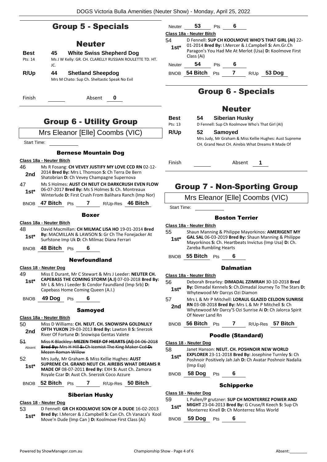### Group 5 - Specials

### Neuter

| <b>Best</b> | <b>White Swiss Shepherd Dog</b><br>45                                           |
|-------------|---------------------------------------------------------------------------------|
| Pts: 14     | Ms J W Kelly: GR. CH. CLARELLY RUSSIAN ROULETTE TD. HT.<br>JC.                  |
| R/Up        | <b>Shetland Sheepdog</b><br>44<br>Mrs M Chato: Sup Ch. Sheltastic Speak No Evil |

Finish Absent **0**

### Group 6 - Utility Group

### Mrs Eleanor [Elle] Coombs (VIC)

Start Time:

### Bernese Mountain Dog

|              | Class 18a - Neuter Bitch                                                                                                                         |  |  |  |  |  |  |
|--------------|--------------------------------------------------------------------------------------------------------------------------------------------------|--|--|--|--|--|--|
| 46           | Ms R Fosang: CH VEVEY JUSTIFY MY LOVE CCD RN 02-12-                                                                                              |  |  |  |  |  |  |
| 2nd          | 2014 Bred By: Mrs L Thomson S: Ch Terra De Bern<br>Shatobrian D: Ch Vevey Champagne Supernova                                                    |  |  |  |  |  |  |
| 47           | Ms S Holmes: AUST CH NEUT CH DARKCRUSH EVEN FLOW                                                                                                 |  |  |  |  |  |  |
| $1st^*$      | 06-07-2017 Bred By: Ms S Holmes S: Ch. Montreaux<br>Winterlude D: First Crush From Balihara Ranch (Imp Nor)                                      |  |  |  |  |  |  |
| <b>BNOB</b>  | 47 Bitch<br>$7^{\circ}$<br>R/Up-Res 46 Bitch<br><b>Pts</b>                                                                                       |  |  |  |  |  |  |
|              | Boxer                                                                                                                                            |  |  |  |  |  |  |
|              | Class 18a - Neuter Bitch                                                                                                                         |  |  |  |  |  |  |
| 48           | David Macmillan: CH MILMAC LISA HO 19-01-2014 Bred                                                                                               |  |  |  |  |  |  |
| 1st*         | By: MACMILLAN & LAWSON S: Gr Ch The Fonejacker At<br>Surfstone Imp Uk D: Ch Milmac Diana Ferrari                                                 |  |  |  |  |  |  |
|              | BNOB $48$ Bitch $Pts$<br>6.                                                                                                                      |  |  |  |  |  |  |
|              | <b>Newfoundland</b>                                                                                                                              |  |  |  |  |  |  |
|              | Class 18 - Neuter Dog                                                                                                                            |  |  |  |  |  |  |
| 49           | Miss E Durant, Mr C Stewart & Mrs J Leeder: NEUTER CH.                                                                                           |  |  |  |  |  |  |
| $1st^*$      | CAPEBASS THE COMING STORM (A.I) 07-03-2018 Bred By:<br>Mr L & Mrs J Leeder S: Condor Faundland (Imp Srb) D:<br>Capebass Home Coming Queen (A.I.) |  |  |  |  |  |  |
| <b>BNOB</b>  | 49 Dog Pts<br>6                                                                                                                                  |  |  |  |  |  |  |
|              | <b>Samoyed</b>                                                                                                                                   |  |  |  |  |  |  |
|              | Class 18a - Neuter Bitch                                                                                                                         |  |  |  |  |  |  |
| 50           | Miss D Williams: CH. NEUT. CH. SNOWISPA GOLDNLILY                                                                                                |  |  |  |  |  |  |
| 2nd          | OFTH YUKON 29-03-2013 Bred By: Lawton B S: Snerzok<br>River Of Fortune D: Snowispa Gentas Valete                                                 |  |  |  |  |  |  |
| 51<br>Absent | Miss K Blackley: MEZEN THIEF OF HEARTS (AI) 04-06-2018<br>Bred By: Mrs H Hill S: Ch Icemist The King Maker Ccd D:                                |  |  |  |  |  |  |

Mezen Roman Willow 52 Mrs Judy, Mr Graham & Miss Kellie Hughes: **AUST SUPREME CH. GRAND NEUT CH. AIREBIS WHAT DREAMS R MADE OF** 08-07-2011 **Bred By:** EXH **S:** Aust Ch. Zamora Royale Czar **D:** Aust Ch. Snerzok Coco Azzure **1st\***

### BNOB **52 Bitch** Pts **7** R/Up-Res **50 Bitch**

### Siberian Husky

#### **Class 18 - Neuter Dog**

53 D Fennell: **GR CH KOOLMOVE SON OF A DUDE** 16-02-2013 **Bred By:** I.Mercer & J.Campbell **S:** Can Ch. Ch Vanaca's Kool **1st\* Brea by:** i.iviercer & J.Campbell S: Can Ch. Ch Vanaca<br>Move'n Dude (Imp Can ) **D:** Koolmove First Class (Ai)

| Neuter      | 53                                                                                                                         | Pts |  |      |                                                     |  |  |  |
|-------------|----------------------------------------------------------------------------------------------------------------------------|-----|--|------|-----------------------------------------------------|--|--|--|
|             | <b>Class 18a - Neuter Bitch</b>                                                                                            |     |  |      |                                                     |  |  |  |
| 54          |                                                                                                                            |     |  |      | D Fennell: SUP CH KOOLMOVE WHO'S THAT GIRL (AI) 22- |  |  |  |
| $1st*$      | 01-2014 Bred By: I.Mercer & J.Campbell S: Am.Gr.Ch<br>Paragon's You Had Me At Merlot (Usa) D: Koolmove First<br>Class (Ai) |     |  |      |                                                     |  |  |  |
| Neuter      | 54                                                                                                                         | Pts |  |      |                                                     |  |  |  |
| <b>BNOB</b> | 54 Bitch                                                                                                                   | Pts |  | R/Up | 53 Dog                                              |  |  |  |

### Group 6 - Specials

### Neuter

| <b>Best</b> | 54 | <b>Siberian Husky</b>                                                                                      |
|-------------|----|------------------------------------------------------------------------------------------------------------|
| Pts: 13     |    | D Fennell: Sup Ch Koolmove Who's That Girl (AI)                                                            |
| R/Up        | 52 | <b>Samoved</b>                                                                                             |
|             |    | Mrs Judy, Mr Graham & Miss Kellie Hughes: Aust Supreme<br>CH. Grand Neut CH. Airebis What Dreams R Made Of |

Finish Absent **1**

### Group 7 - Non-Sporting Group

Mrs Eleanor [Elle] Coombs (VIC)

Start Time:

#### Boston Terrier

- **Class 18a - Neuter Bitch**
- 55 Shaun Manning & Philippe Mayorkinos: **AMERIGENT MY GAL SAL** 06-03-2019 **Bred By:** Shaun Manning & Philippe Mayorkinos **S:** Ch. Heartbeats Invictus (Imp Usa) **D:** Ch. Zareba Rumbling Hearts **1st\***

BNOB **55 Bitch** Pts **6**

#### **Dalmatian**

**Class 18a - Neuter Bitch**

- 56 Deborah Brearley: **DIMADAL ZZIMRAH** 30-10-2018 **Bred**
- **By:** Dimadal Kennels **S:** Ch.Dimadal Journey To The Stars **D:**  Whytewood Mr Darcys Ozi Diamon **1st\***
- 57 Mrs L & Mr P Mitchell: **LORAUL GLAZED CELDON SUNRISE RN** 03-08-2018 **Bred By:** Mrs L & Mr P Mitchell **S:** Ch **2nd**
- Whytewood Mr Darcy'S Ozi Sunrise Ai **D:** Ch Jalorca Spirit Of Never Land Rn
- BNOB **56 Bitch** Pts **7** R/Up-Res **57 Bitch**

#### Poodle (Standard)

- **Class 18 - Neuter Dog**
- 58 Janet Hanson: **NEUT. CH. POSHNOIR NEW WORLD** 
	- **EXPLORER** 23-11-2018 **Bred By:** Josephine Turnley **S:** Ch Poshnoir Positively Jah Jah **D:** Ch Avatar Poshnoir Nadalia (Imp Esp) **1st\***

BNOB **58 Dog** Pts **6**

#### Schipperke

**Class 18 - Neuter Dog**

59 L Pullen/P grutzner: **SUP CH MONTERREZ POWER AND MIGHT** 23-04-2013 **Bred By:** G Cruse/R Keech **S:** Sup Ch Monterrez Kinell **D:** Ch Monterrez Miss World **1st\***

BNOB **59 Dog** Pts **6**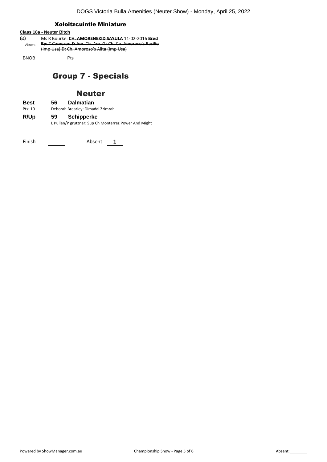#### Xoloitzcuintle Miniature

### **Class 18a - Neuter Bitch**

60 Ms R Bourke: **CH. AMORENEKID SAYULA** 11-02-2016 **Bred By:** T Cameron **S:** Am. Ch. Am. Gr Ch. Ch. Amoroso's Basilio (Imp Usa) **D:** Ch. Amoroso's Alita (Imp Usa) Absent

BNOB Pts

### Group 7 - Specials

### Neuter

**Best 56 Dalmatian** Pts: 10 Deborah Brearley: Dimadal Zzimrah **R/Up 59 Schipperke** L Pullen/P grutzner: Sup Ch Monterrez Power And Might

Finish Absent **1**